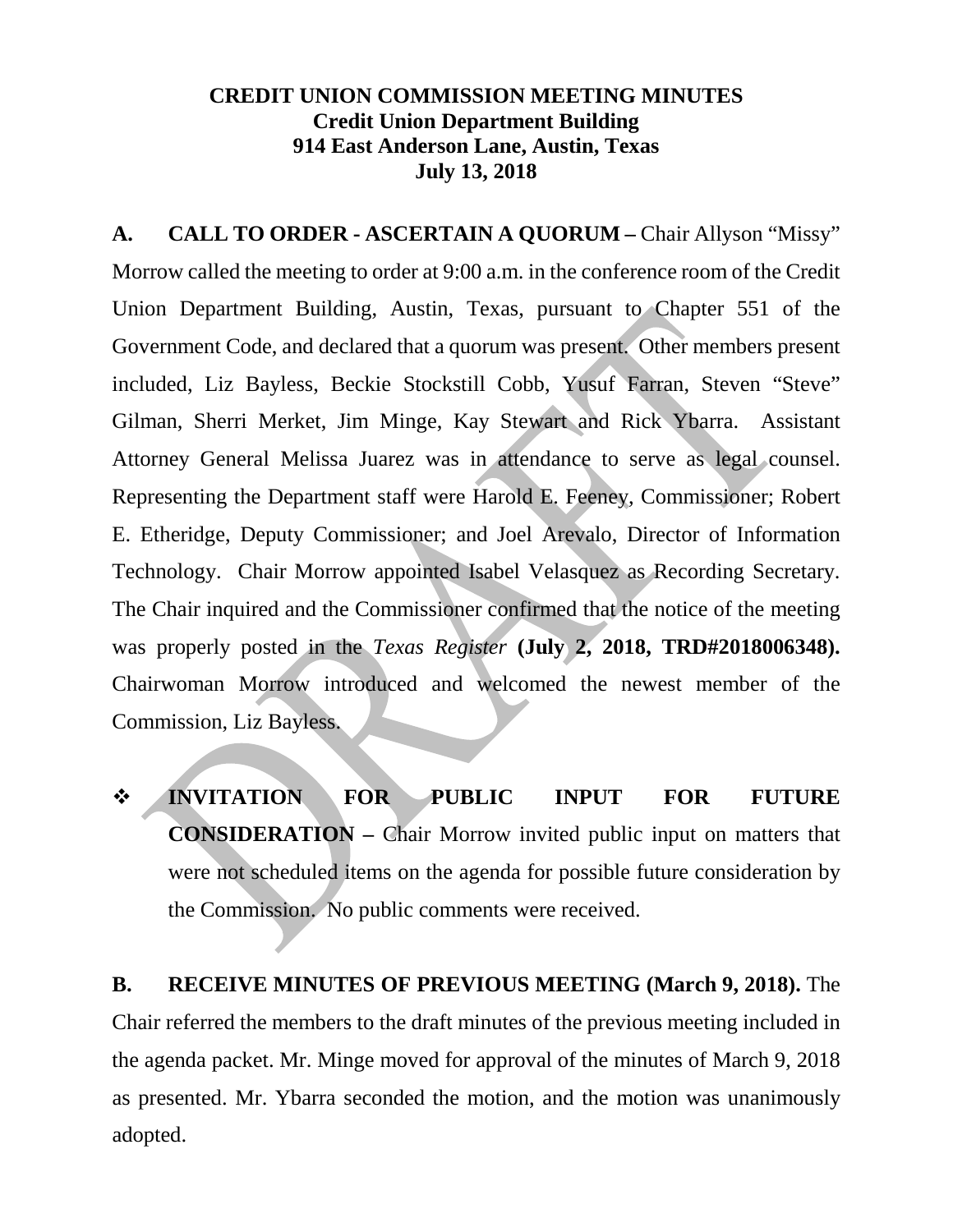## **CREDIT UNION COMMISSION MEETING MINUTES Credit Union Department Building 914 East Anderson Lane, Austin, Texas July 13, 2018**

**A. CALL TO ORDER - ASCERTAIN A QUORUM –** Chair Allyson "Missy" Morrow called the meeting to order at 9:00 a.m. in the conference room of the Credit Union Department Building, Austin, Texas, pursuant to Chapter 551 of the Government Code, and declared that a quorum was present. Other members present included, Liz Bayless, Beckie Stockstill Cobb, Yusuf Farran, Steven "Steve" Gilman, Sherri Merket, Jim Minge, Kay Stewart and Rick Ybarra. Assistant Attorney General Melissa Juarez was in attendance to serve as legal counsel. Representing the Department staff were Harold E. Feeney, Commissioner; Robert E. Etheridge, Deputy Commissioner; and Joel Arevalo, Director of Information Technology. Chair Morrow appointed Isabel Velasquez as Recording Secretary. The Chair inquired and the Commissioner confirmed that the notice of the meeting was properly posted in the *Texas Register* **(July 2, 2018, TRD#2018006348).**  Chairwoman Morrow introduced and welcomed the newest member of the Commission, Liz Bayless.

 **INVITATION FOR PUBLIC INPUT FOR FUTURE CONSIDERATION –** Chair Morrow invited public input on matters that were not scheduled items on the agenda for possible future consideration by the Commission. No public comments were received.

**B. RECEIVE MINUTES OF PREVIOUS MEETING (March 9, 2018).** The Chair referred the members to the draft minutes of the previous meeting included in the agenda packet. Mr. Minge moved for approval of the minutes of March 9, 2018 as presented. Mr. Ybarra seconded the motion, and the motion was unanimously adopted.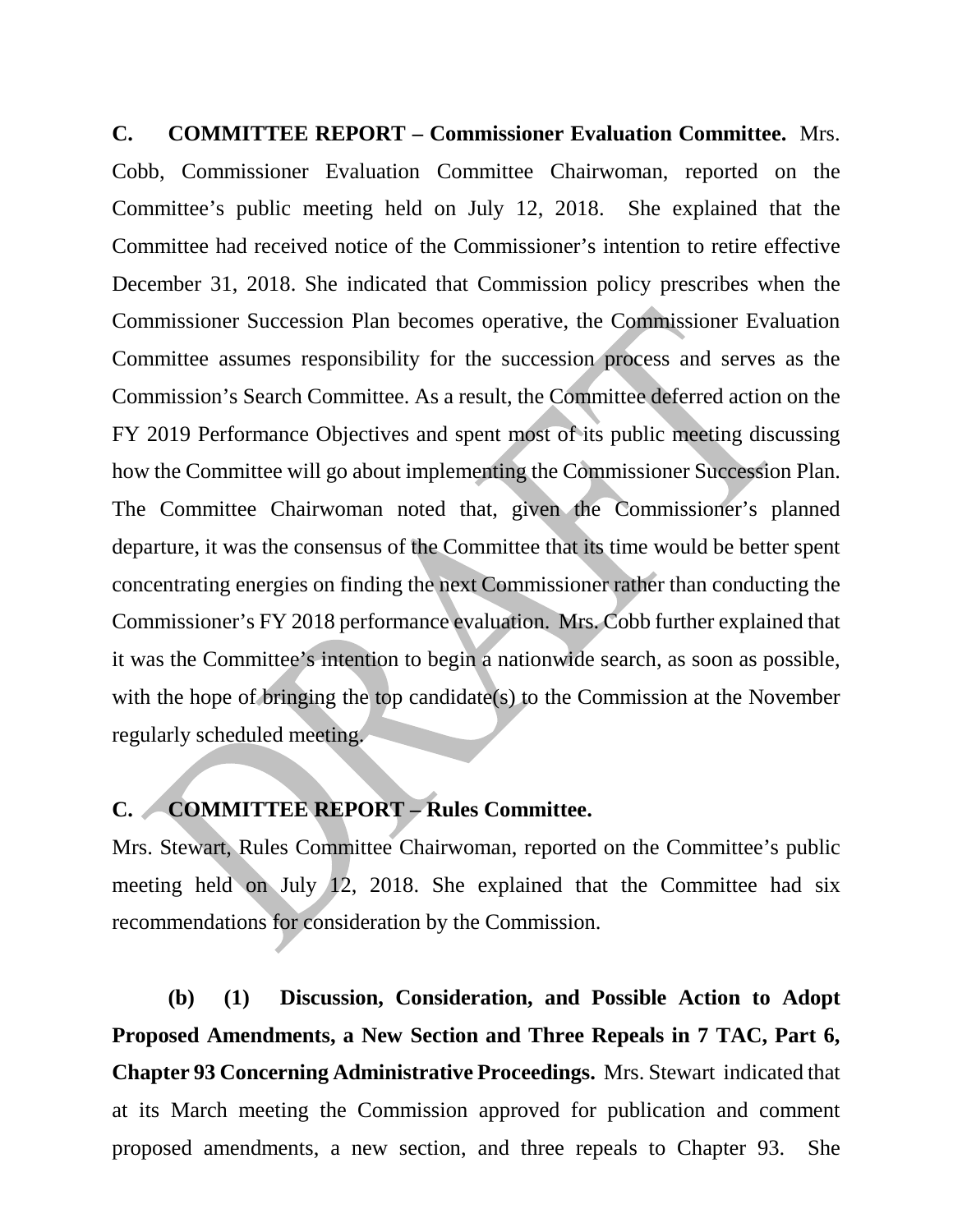**C. COMMITTEE REPORT – Commissioner Evaluation Committee.** Mrs. Cobb, Commissioner Evaluation Committee Chairwoman, reported on the Committee's public meeting held on July 12, 2018. She explained that the Committee had received notice of the Commissioner's intention to retire effective December 31, 2018. She indicated that Commission policy prescribes when the Commissioner Succession Plan becomes operative, the Commissioner Evaluation Committee assumes responsibility for the succession process and serves as the Commission's Search Committee. As a result, the Committee deferred action on the FY 2019 Performance Objectives and spent most of its public meeting discussing how the Committee will go about implementing the Commissioner Succession Plan. The Committee Chairwoman noted that, given the Commissioner's planned departure, it was the consensus of the Committee that its time would be better spent concentrating energies on finding the next Commissioner rather than conducting the Commissioner's FY 2018 performance evaluation. Mrs. Cobb further explained that it was the Committee's intention to begin a nationwide search, as soon as possible, with the hope of bringing the top candidate(s) to the Commission at the November regularly scheduled meeting.

## **C. COMMITTEE REPORT – Rules Committee.**

Mrs. Stewart, Rules Committee Chairwoman, reported on the Committee's public meeting held on July 12, 2018. She explained that the Committee had six recommendations for consideration by the Commission.

**(b) (1) Discussion, Consideration, and Possible Action to Adopt Proposed Amendments, a New Section and Three Repeals in 7 TAC, Part 6, Chapter 93 Concerning Administrative Proceedings.** Mrs. Stewart indicated that at its March meeting the Commission approved for publication and comment proposed amendments, a new section, and three repeals to Chapter 93. She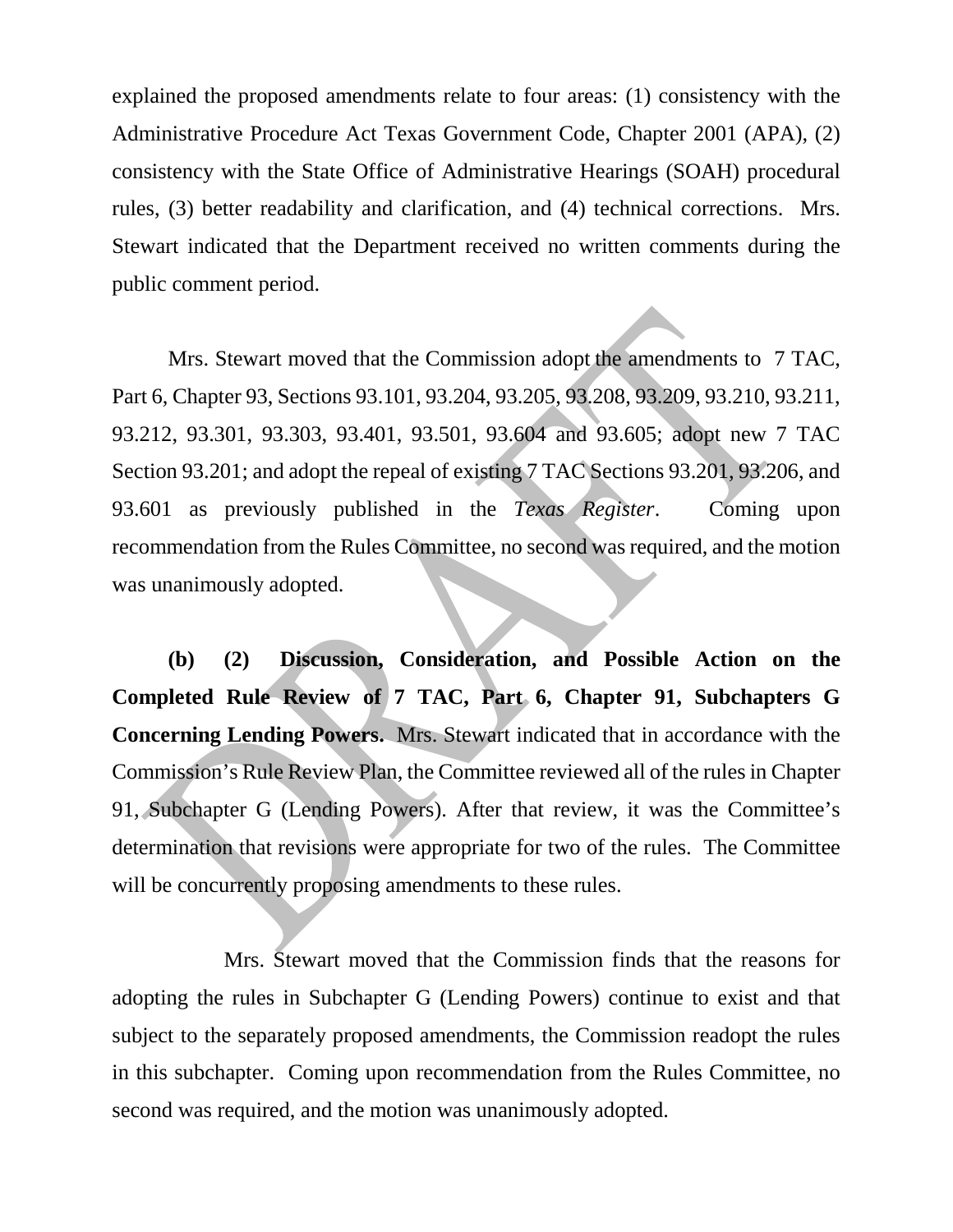explained the proposed amendments relate to four areas: (1) consistency with the Administrative Procedure Act Texas Government Code, Chapter 2001 (APA), (2) consistency with the State Office of Administrative Hearings (SOAH) procedural rules, (3) better readability and clarification, and (4) technical corrections. Mrs. Stewart indicated that the Department received no written comments during the public comment period.

Mrs. Stewart moved that the Commission adopt the amendments to 7 TAC, Part 6, Chapter 93, Sections 93.101, 93.204, 93.205, 93.208, 93.209, 93.210, 93.211, 93.212, 93.301, 93.303, 93.401, 93.501, 93.604 and 93.605; adopt new 7 TAC Section 93.201; and adopt the repeal of existing 7 TAC Sections 93.201, 93.206, and 93.601 as previously published in the *Texas Register*. Coming upon recommendation from the Rules Committee, no second was required, and the motion was unanimously adopted.

**(b) (2) Discussion, Consideration, and Possible Action on the Completed Rule Review of 7 TAC, Part 6, Chapter 91, Subchapters G Concerning Lending Powers.** Mrs. Stewart indicated that in accordance with the Commission's Rule Review Plan, the Committee reviewed all of the rules in Chapter 91, Subchapter G (Lending Powers). After that review, it was the Committee's determination that revisions were appropriate for two of the rules. The Committee will be concurrently proposing amendments to these rules.

Mrs. Stewart moved that the Commission finds that the reasons for adopting the rules in Subchapter G (Lending Powers) continue to exist and that subject to the separately proposed amendments, the Commission readopt the rules in this subchapter. Coming upon recommendation from the Rules Committee, no second was required, and the motion was unanimously adopted.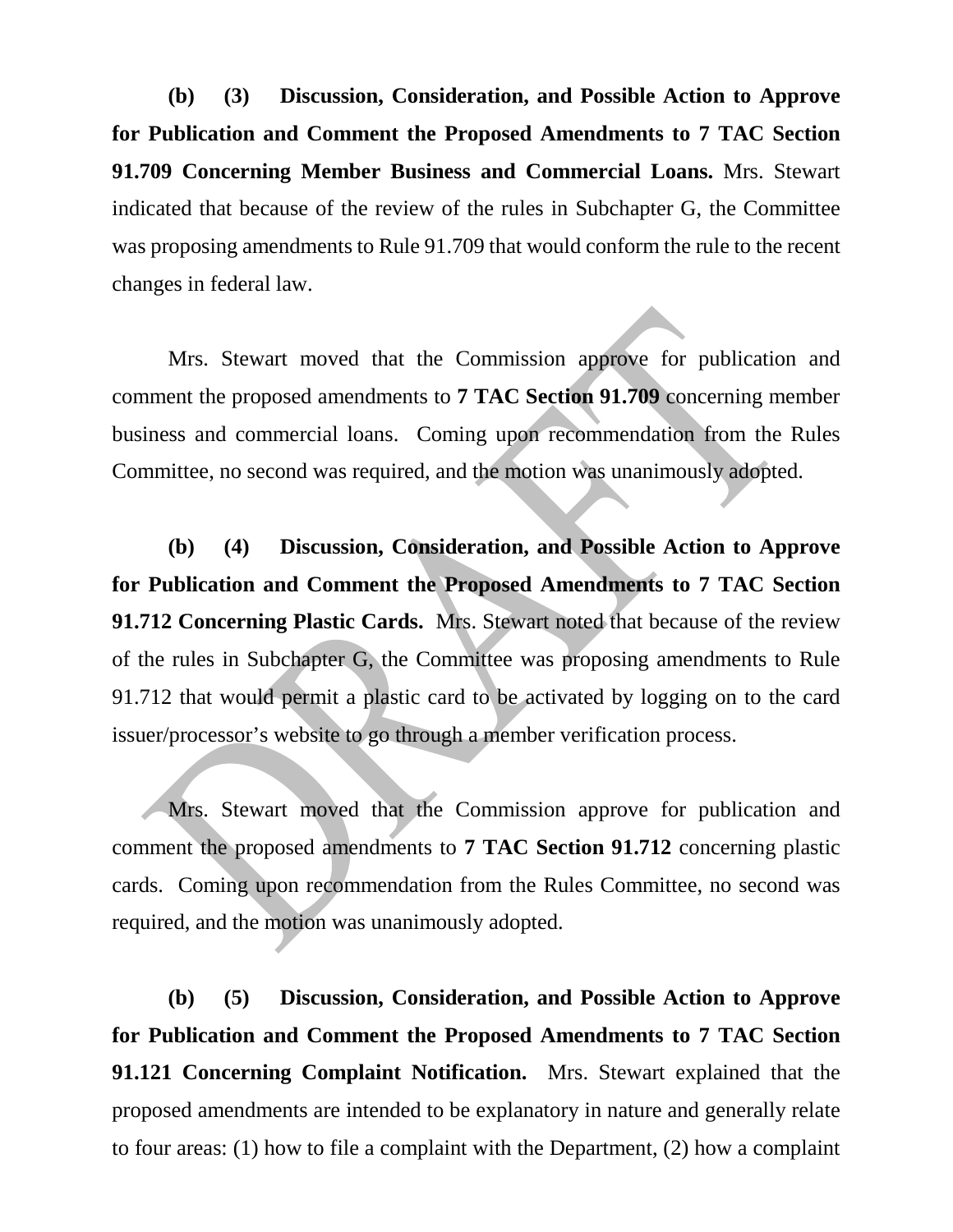**(b) (3) Discussion, Consideration, and Possible Action to Approve for Publication and Comment the Proposed Amendments to 7 TAC Section 91.709 Concerning Member Business and Commercial Loans.** Mrs. Stewart indicated that because of the review of the rules in Subchapter G, the Committee was proposing amendments to Rule 91.709 that would conform the rule to the recent changes in federal law.

Mrs. Stewart moved that the Commission approve for publication and comment the proposed amendments to **7 TAC Section 91.709** concerning member business and commercial loans. Coming upon recommendation from the Rules Committee, no second was required, and the motion was unanimously adopted.

**(b) (4) Discussion, Consideration, and Possible Action to Approve for Publication and Comment the Proposed Amendments to 7 TAC Section 91.712 Concerning Plastic Cards.** Mrs. Stewart noted that because of the review of the rules in Subchapter G, the Committee was proposing amendments to Rule 91.712 that would permit a plastic card to be activated by logging on to the card issuer/processor's website to go through a member verification process.

Mrs. Stewart moved that the Commission approve for publication and comment the proposed amendments to **7 TAC Section 91.712** concerning plastic cards. Coming upon recommendation from the Rules Committee, no second was required, and the motion was unanimously adopted.

**(b) (5) Discussion, Consideration, and Possible Action to Approve for Publication and Comment the Proposed Amendments to 7 TAC Section 91.121 Concerning Complaint Notification.** Mrs. Stewart explained that the proposed amendments are intended to be explanatory in nature and generally relate to four areas: (1) how to file a complaint with the Department, (2) how a complaint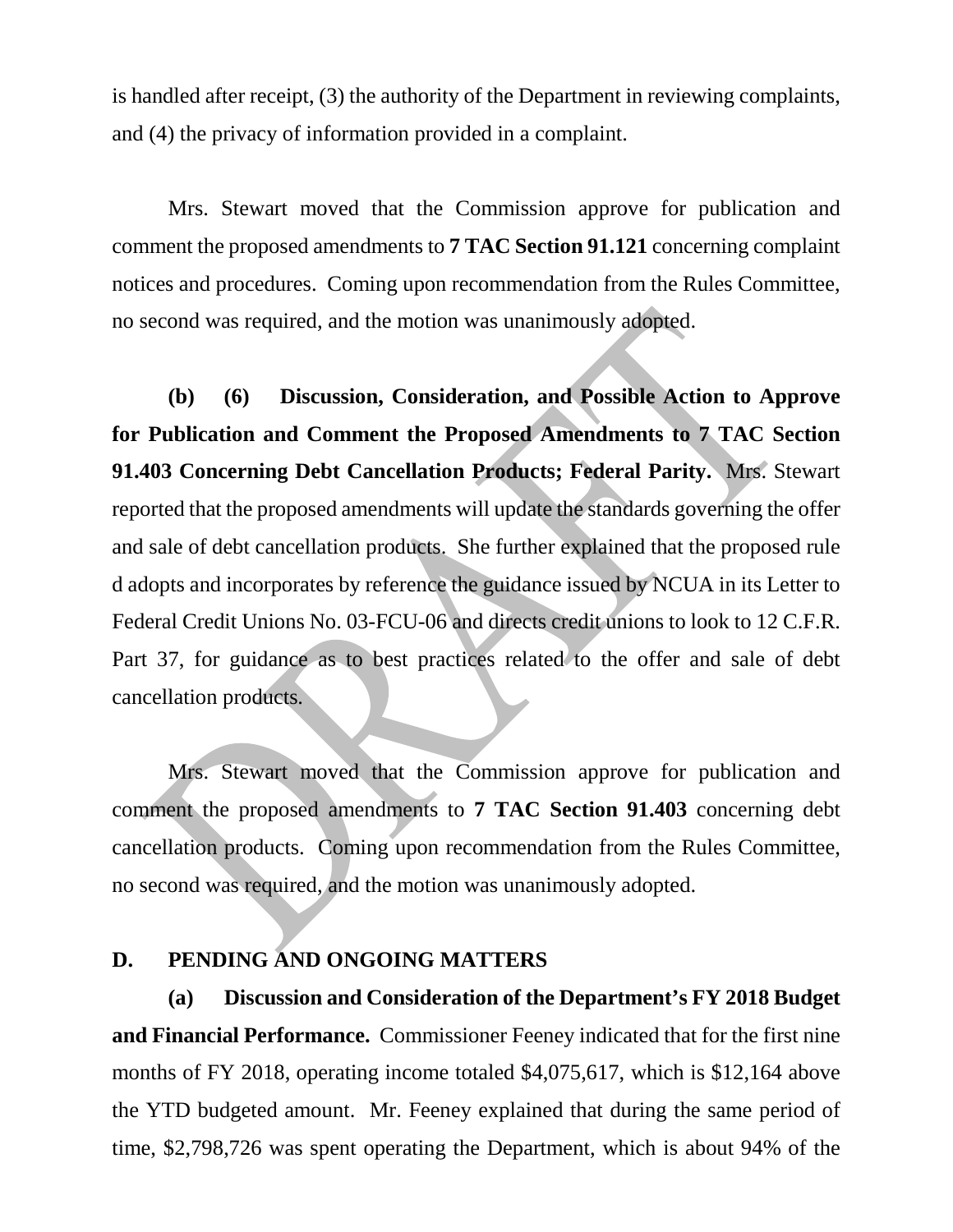is handled after receipt, (3) the authority of the Department in reviewing complaints, and (4) the privacy of information provided in a complaint.

Mrs. Stewart moved that the Commission approve for publication and comment the proposed amendments to **7 TAC Section 91.121** concerning complaint notices and procedures. Coming upon recommendation from the Rules Committee, no second was required, and the motion was unanimously adopted.

**(b) (6) Discussion, Consideration, and Possible Action to Approve for Publication and Comment the Proposed Amendments to 7 TAC Section 91.403 Concerning Debt Cancellation Products; Federal Parity.** Mrs. Stewart reported that the proposed amendments will update the standards governing the offer and sale of debt cancellation products. She further explained that the proposed rule d adopts and incorporates by reference the guidance issued by NCUA in its Letter to Federal Credit Unions No. 03-FCU-06 and directs credit unions to look to 12 C.F.R. Part 37, for guidance as to best practices related to the offer and sale of debt cancellation products.

Mrs. Stewart moved that the Commission approve for publication and comment the proposed amendments to **7 TAC Section 91.403** concerning debt cancellation products. Coming upon recommendation from the Rules Committee, no second was required, and the motion was unanimously adopted.

## **D. PENDING AND ONGOING MATTERS**

**(a) Discussion and Consideration of the Department's FY 2018 Budget and Financial Performance.** Commissioner Feeney indicated that for the first nine months of FY 2018, operating income totaled \$4,075,617, which is \$12,164 above the YTD budgeted amount. Mr. Feeney explained that during the same period of time, \$2,798,726 was spent operating the Department, which is about 94% of the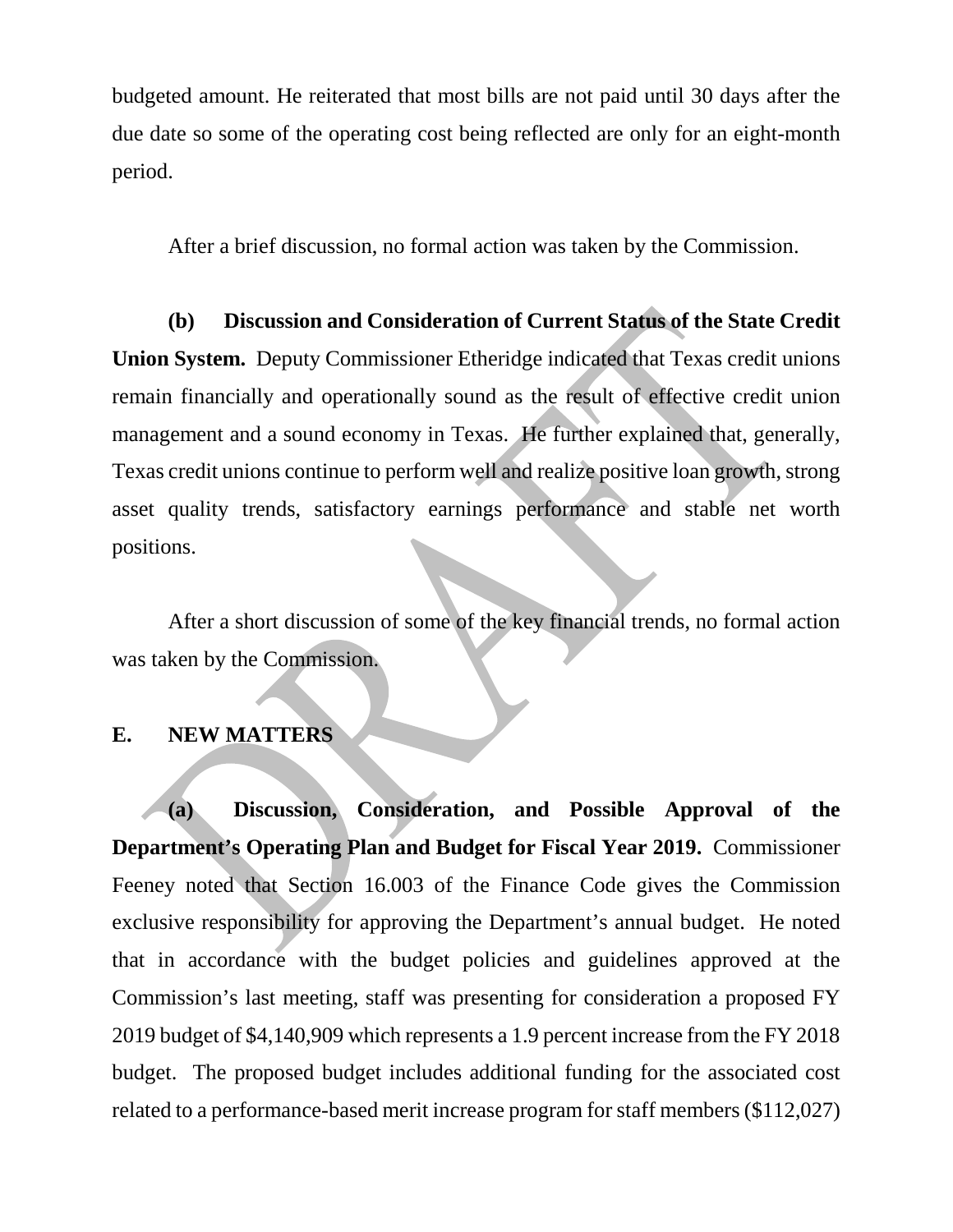budgeted amount. He reiterated that most bills are not paid until 30 days after the due date so some of the operating cost being reflected are only for an eight-month period.

After a brief discussion, no formal action was taken by the Commission.

**(b) Discussion and Consideration of Current Status of the State Credit Union System.** Deputy Commissioner Etheridge indicated that Texas credit unions remain financially and operationally sound as the result of effective credit union management and a sound economy in Texas. He further explained that, generally, Texas credit unions continue to perform well and realize positive loan growth, strong asset quality trends, satisfactory earnings performance and stable net worth positions.

After a short discussion of some of the key financial trends, no formal action was taken by the Commission.

## **E. NEW MATTERS**

**(a) Discussion, Consideration, and Possible Approval of the Department's Operating Plan and Budget for Fiscal Year 2019.** Commissioner Feeney noted that Section 16.003 of the Finance Code gives the Commission exclusive responsibility for approving the Department's annual budget. He noted that in accordance with the budget policies and guidelines approved at the Commission's last meeting, staff was presenting for consideration a proposed FY 2019 budget of \$4,140,909 which represents a 1.9 percent increase from the FY 2018 budget. The proposed budget includes additional funding for the associated cost related to a performance-based merit increase program for staff members (\$112,027)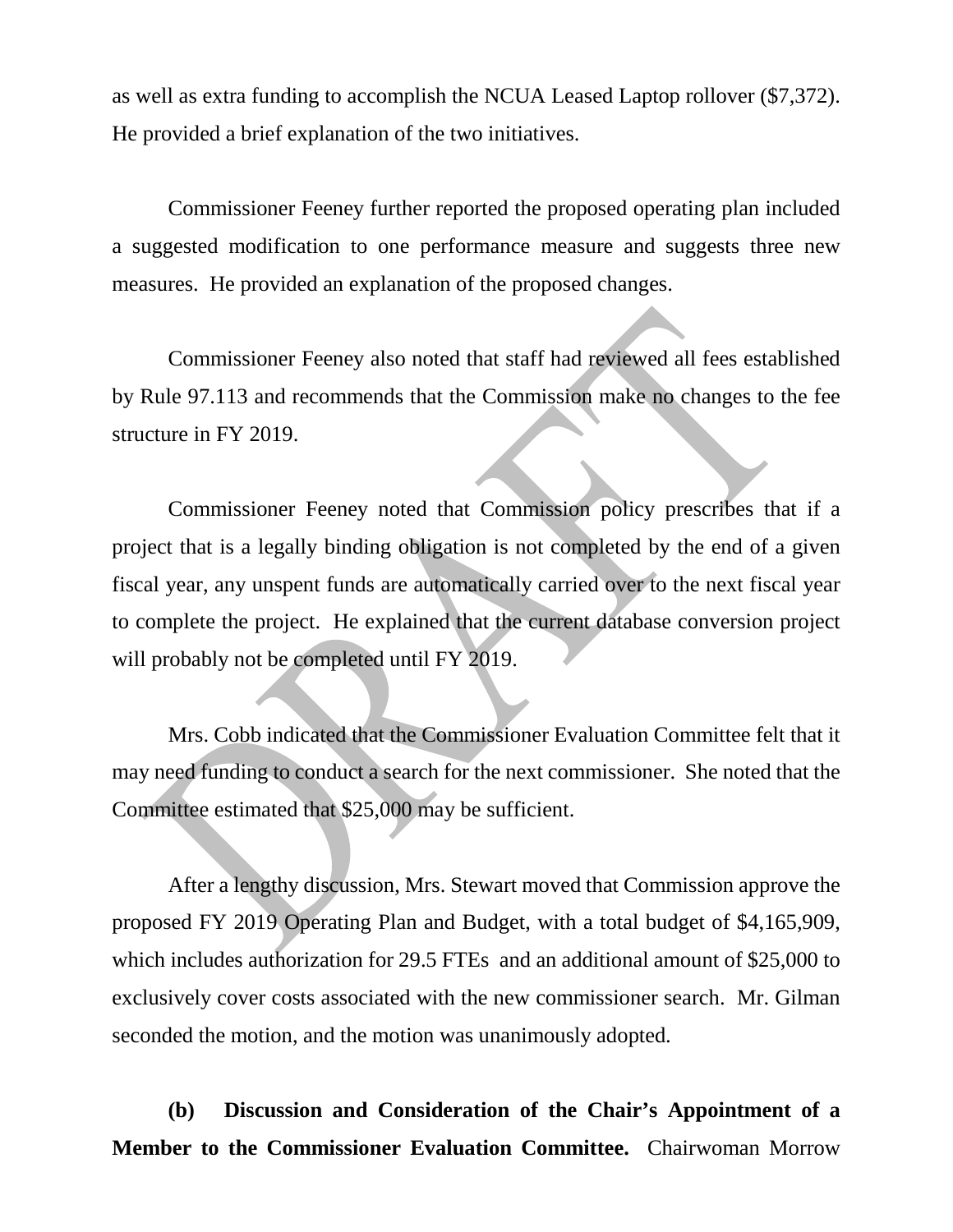as well as extra funding to accomplish the NCUA Leased Laptop rollover (\$7,372). He provided a brief explanation of the two initiatives.

Commissioner Feeney further reported the proposed operating plan included a suggested modification to one performance measure and suggests three new measures. He provided an explanation of the proposed changes.

Commissioner Feeney also noted that staff had reviewed all fees established by Rule 97.113 and recommends that the Commission make no changes to the fee structure in FY 2019.

Commissioner Feeney noted that Commission policy prescribes that if a project that is a legally binding obligation is not completed by the end of a given fiscal year, any unspent funds are automatically carried over to the next fiscal year to complete the project. He explained that the current database conversion project will probably not be completed until FY 2019.

Mrs. Cobb indicated that the Commissioner Evaluation Committee felt that it may need funding to conduct a search for the next commissioner. She noted that the Committee estimated that \$25,000 may be sufficient.

After a lengthy discussion, Mrs. Stewart moved that Commission approve the proposed FY 2019 Operating Plan and Budget, with a total budget of \$4,165,909, which includes authorization for 29.5 FTEs and an additional amount of \$25,000 to exclusively cover costs associated with the new commissioner search. Mr. Gilman seconded the motion, and the motion was unanimously adopted.

**(b) Discussion and Consideration of the Chair's Appointment of a Member to the Commissioner Evaluation Committee.** Chairwoman Morrow